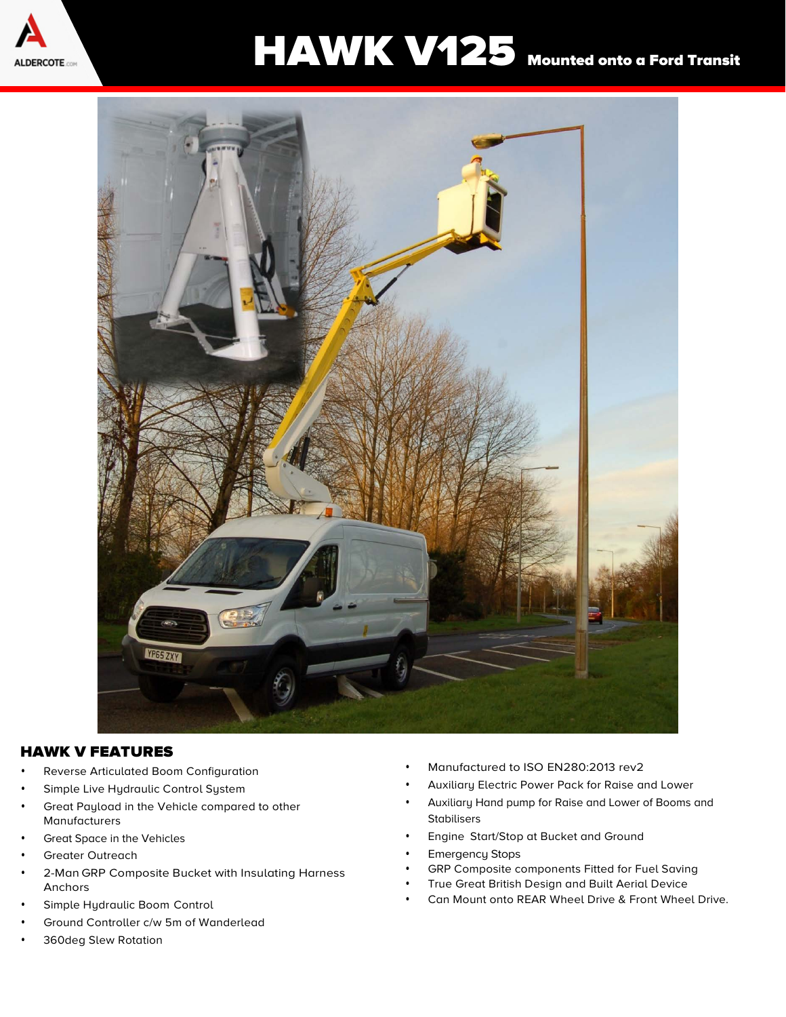

## ALDERCOTE AND HAWK V125 Mounted onto a Ford Transit



## HAWK V FEATURES

- Reverse Articulated Boom Configuration
- Simple Live Hydraulic Control System
- Great Payload in the Vehicle compared to other Manufacturers
- Great Space in the Vehicles
- Greater Outreach
- 2-Man GRP Composite Bucket with Insulating Harness Anchors
- Simple Hydraulic Boom Control
- Ground Controller c/w 5m of Wanderlead
- 360deg Slew Rotation
- Manufactured to ISO EN280:2013 rev2
- Auxiliary Electric Power Pack for Raise and Lower
- Auxiliary Hand pump for Raise and Lower of Booms and **Stabilisers**
- Engine Start/Stop at Bucket and Ground
- **Emergency Stops**
- GRP Composite components Fitted for Fuel Saving
- True Great British Design and Built Aerial Device
- Can Mount onto REAR Wheel Drive & Front Wheel Drive.